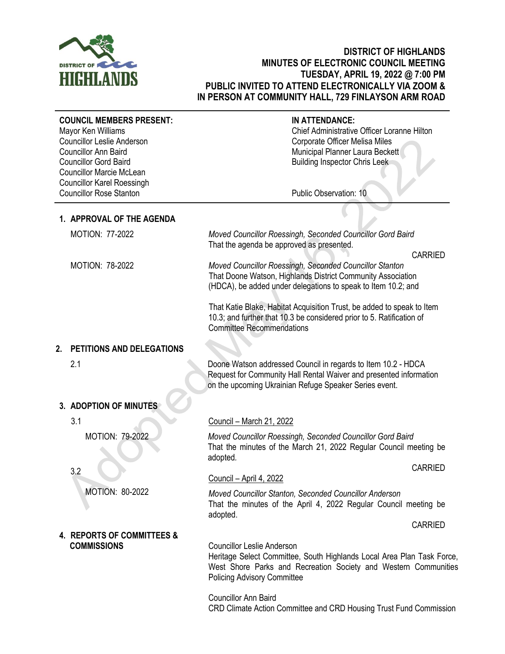

# **DISTRICT OF HIGHLANDS MINUTES OF ELECTRONIC COUNCIL MEETING TUESDAY, APRIL 19, 2022 @ 7:00 PM PUBLIC INVITED TO ATTEND ELECTRONICALLY VIA ZOOM & IN PERSON AT COMMUNITY HALL, 729 FINLAYSON ARM ROAD**

| <b>COUNCIL MEMBERS PRESENT:</b><br>Mayor Ken Williams<br><b>Councillor Leslie Anderson</b><br><b>Councillor Ann Baird</b><br><b>Councillor Gord Baird</b><br><b>Councillor Marcie McLean</b><br><b>Councillor Karel Roessingh</b> | IN ATTENDANCE:<br>Chief Administrative Officer Loranne Hilton<br>Corporate Officer Melisa Miles<br>Municipal Planner Laura Beckett<br><b>Building Inspector Chris Leek</b>                                           |
|-----------------------------------------------------------------------------------------------------------------------------------------------------------------------------------------------------------------------------------|----------------------------------------------------------------------------------------------------------------------------------------------------------------------------------------------------------------------|
| <b>Councillor Rose Stanton</b>                                                                                                                                                                                                    | Public Observation: 10                                                                                                                                                                                               |
| 1. APPROVAL OF THE AGENDA                                                                                                                                                                                                         |                                                                                                                                                                                                                      |
| <b>MOTION: 77-2022</b>                                                                                                                                                                                                            | Moved Councillor Roessingh, Seconded Councillor Gord Baird<br>That the agenda be approved as presented.                                                                                                              |
| <b>MOTION: 78-2022</b>                                                                                                                                                                                                            | <b>CARRIED</b><br>Moved Councillor Roessingh, Seconded Councillor Stanton<br>That Doone Watson, Highlands District Community Association<br>(HDCA), be added under delegations to speak to Item 10.2; and            |
|                                                                                                                                                                                                                                   | That Katie Blake, Habitat Acquisition Trust, be added to speak to Item<br>10.3; and further that 10.3 be considered prior to 5. Ratification of<br><b>Committee Recommendations</b>                                  |
| PETITIONS AND DELEGATIONS<br>2.                                                                                                                                                                                                   |                                                                                                                                                                                                                      |
| 2.1                                                                                                                                                                                                                               | Doone Watson addressed Council in regards to Item 10.2 - HDCA<br>Request for Community Hall Rental Waiver and presented information<br>on the upcoming Ukrainian Refuge Speaker Series event.                        |
| 3. ADOPTION OF MINUTES                                                                                                                                                                                                            |                                                                                                                                                                                                                      |
| 3.1                                                                                                                                                                                                                               | Council - March 21, 2022                                                                                                                                                                                             |
| <b>MOTION: 79-2022</b>                                                                                                                                                                                                            | Moved Councillor Roessingh, Seconded Councillor Gord Baird<br>That the minutes of the March 21, 2022 Regular Council meeting be<br>adopted.                                                                          |
| 3.2                                                                                                                                                                                                                               | <b>CARRIED</b><br>Council - April 4, 2022                                                                                                                                                                            |
| MOTION: 80-2022                                                                                                                                                                                                                   | Moved Councillor Stanton, Seconded Councillor Anderson<br>That the minutes of the April 4, 2022 Regular Council meeting be<br>adopted.                                                                               |
|                                                                                                                                                                                                                                   | <b>CARRIED</b>                                                                                                                                                                                                       |
| 4. REPORTS OF COMMITTEES &<br><b>COMMISSIONS</b>                                                                                                                                                                                  | <b>Councillor Leslie Anderson</b><br>Heritage Select Committee, South Highlands Local Area Plan Task Force,<br>West Shore Parks and Recreation Society and Western Communities<br><b>Policing Advisory Committee</b> |
|                                                                                                                                                                                                                                   | <b>Councillor Ann Baird</b><br>CRD Climate Action Committee and CRD Housing Trust Fund Commission                                                                                                                    |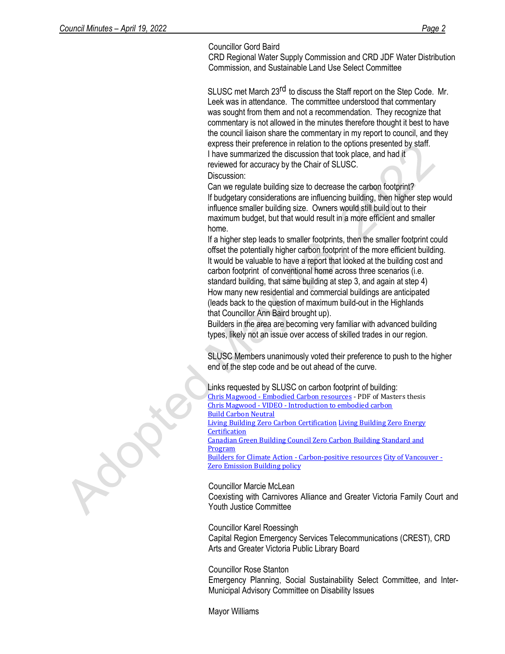### Councillor Gord Baird

CRD Regional Water Supply Commission and CRD JDF Water Distribution Commission, and Sustainable Land Use Select Committee

SLUSC met March 23<sup>rd</sup> to discuss the Staff report on the Step Code. Mr. Leek was in attendance. The committee understood that commentary was sought from them and not a recommendation. They recognize that commentary is not allowed in the minutes therefore thought it best to have the council liaison share the commentary in my report to council, and they express their preference in relation to the options presented by staff. I have summarized the discussion that took place, and had it reviewed for accuracy by the Chair of SLUSC.

### Discussion:

Can we regulate building size to decrease the carbon footprint? If budgetary considerations are influencing building, then higher step would influence smaller building size. Owners would still build out to their maximum budget, but that would result in a more efficient and smaller home.

If a higher step leads to smaller footprints, then the smaller footprint could offset the potentially higher carbon footprint of the more efficient building. It would be valuable to have a report that looked at the building cost and carbon footprint of conventional home across three scenarios (i.e. standard building, that same building at step 3, and again at step 4) • How many new residential and commercial buildings are anticipated (leads back to the question of maximum build-out in the Highlands that Councillor Ann Baird brought up).

• Builders in the area are becoming very familiar with advanced building types, likely not an issue over access of skilled trades in our region.

SLUSC Members unanimously voted their preference to push to the higher end of the step code and be out ahead of the curve.

Links requested by SLUSC on carbon footprint of building: Chris Magwood - Embodied Carbon resources - PDF of Masters thesis Chris Magwood - VIDEO - Introduction to embodied carbon Build Carbon Neutral Living Building Zero Carbon Certification Living Building Zero Energy **Certification** Canadian Green Building Council Zero Carbon Building Standard and Program Builders for Climate Action - Carbon-positive resources City of Vancouver - Zero Emission Building policy

Councillor Marcie McLean

Coexisting with Carnivores Alliance and Greater Victoria Family Court and Youth Justice Committee

Councillor Karel Roessingh

Capital Region Emergency Services Telecommunications (CREST), CRD Arts and Greater Victoria Public Library Board

Councillor Rose Stanton Emergency Planning, Social Sustainability Select Committee, and Inter-Municipal Advisory Committee on Disability Issues

Mayor Williams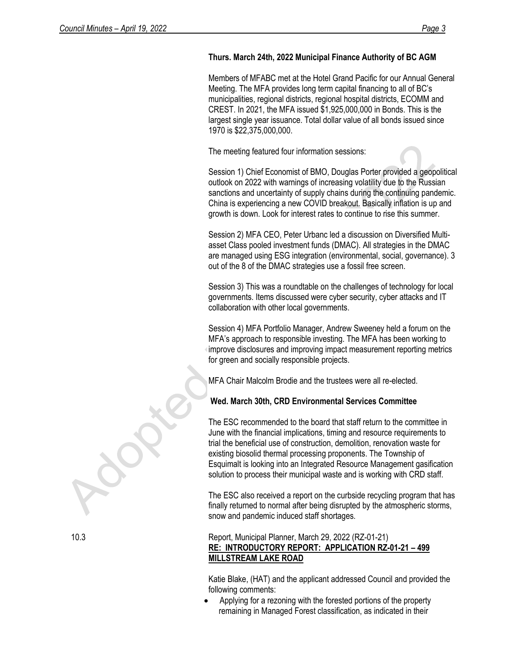# **Thurs. March 24th, 2022 Municipal Finance Authority of BC AGM**

Members of MFABC met at the Hotel Grand Pacific for our Annual General Meeting. The MFA provides long term capital financing to all of BC's municipalities, regional districts, regional hospital districts, ECOMM and CREST. In 2021, the MFA issued \$1,925,000,000 in Bonds. This is the largest single year issuance. Total dollar value of all bonds issued since 1970 is \$22,375,000,000.

The meeting featured four information sessions:

Session 1) Chief Economist of BMO, Douglas Porter provided a geopolitical outlook on 2022 with warnings of increasing volatility due to the Russian sanctions and uncertainty of supply chains during the continuing pandemic. China is experiencing a new COVID breakout. Basically inflation is up and growth is down. Look for interest rates to continue to rise this summer.

Session 2) MFA CEO, Peter Urbanc led a discussion on Diversified Multiasset Class pooled investment funds (DMAC). All strategies in the DMAC are managed using ESG integration (environmental, social, governance). 3 out of the 8 of the DMAC strategies use a fossil free screen.

Session 3) This was a roundtable on the challenges of technology for local governments. Items discussed were cyber security, cyber attacks and IT collaboration with other local governments.

Session 4) MFA Portfolio Manager, Andrew Sweeney held a forum on the MFA's approach to responsible investing. The MFA has been working to improve disclosures and improving impact measurement reporting metrics for green and socially responsible projects.

MFA Chair Malcolm Brodie and the trustees were all re-elected.

## **Wed. March 30th, CRD Environmental Services Committee**

The ESC recommended to the board that staff return to the committee in June with the financial implications, timing and resource requirements to trial the beneficial use of construction, demolition, renovation waste for existing biosolid thermal processing proponents. The Township of Esquimalt is looking into an Integrated Resource Management gasification solution to process their municipal waste and is working with CRD staff.

The ESC also received a report on the curbside recycling program that has finally returned to normal after being disrupted by the atmospheric storms, snow and pandemic induced staff shortages.

## 10.3 Report, Municipal Planner, March 29, 2022 (RZ-01-21) **RE: INTRODUCTORY REPORT: APPLICATION RZ-01-21 – 499 MILLSTREAM LAKE ROAD**

Katie Blake, (HAT) and the applicant addressed Council and provided the following comments:

• Applying for a rezoning with the forested portions of the property remaining in Managed Forest classification, as indicated in their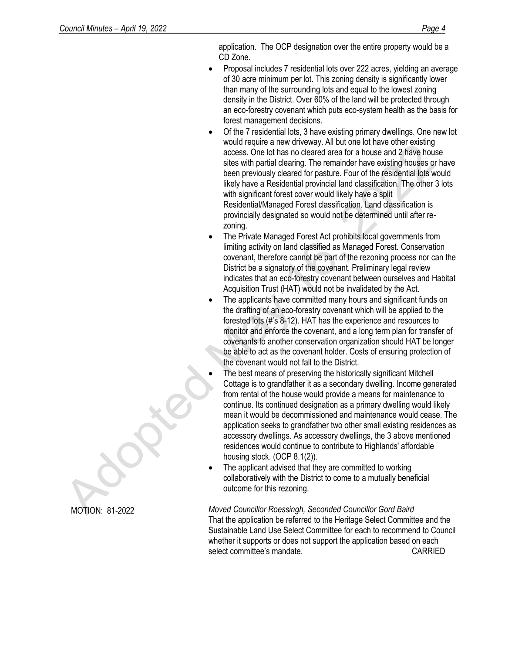application. The OCP designation over the entire property would be a CD Zone.

- Proposal includes 7 residential lots over 222 acres, yielding an average of 30 acre minimum per lot. This zoning density is significantly lower than many of the surrounding lots and equal to the lowest zoning density in the District. Over 60% of the land will be protected through an eco-forestry covenant which puts eco-system health as the basis for forest management decisions.
- Of the 7 residential lots, 3 have existing primary dwellings. One new lot would require a new driveway. All but one lot have other existing access. One lot has no cleared area for a house and 2 have house sites with partial clearing. The remainder have existing houses or have been previously cleared for pasture. Four of the residential lots would likely have a Residential provincial land classification. The other 3 lots with significant forest cover would likely have a split Residential/Managed Forest classification. Land classification is provincially designated so would not be determined until after rezoning.
- The Private Managed Forest Act prohibits local governments from limiting activity on land classified as Managed Forest. Conservation covenant, therefore cannot be part of the rezoning process nor can the District be a signatory of the covenant. Preliminary legal review indicates that an eco-forestry covenant between ourselves and Habitat Acquisition Trust (HAT) would not be invalidated by the Act.
- The applicants have committed many hours and significant funds on the drafting of an eco-forestry covenant which will be applied to the forested lots (#'s 8-12). HAT has the experience and resources to monitor and enforce the covenant, and a long term plan for transfer of covenants to another conservation organization should HAT be longer be able to act as the covenant holder. Costs of ensuring protection of the covenant would not fall to the District.
	- The best means of preserving the historically significant Mitchell Cottage is to grandfather it as a secondary dwelling. Income generated from rental of the house would provide a means for maintenance to continue. Its continued designation as a primary dwelling would likely mean it would be decommissioned and maintenance would cease. The application seeks to grandfather two other small existing residences as accessory dwellings. As accessory dwellings, the 3 above mentioned residences would continue to contribute to Highlands' affordable housing stock. (OCP 8.1(2)).
- The applicant advised that they are committed to working collaboratively with the District to come to a mutually beneficial outcome for this rezoning.

*Moved Councillor Roessingh, Seconded Councillor Gord Baird* That the application be referred to the Heritage Select Committee and the Sustainable Land Use Select Committee for each to recommend to Council whether it supports or does not support the application based on each select committee's mandate. The committee's mandate.

MOTION: 81-2022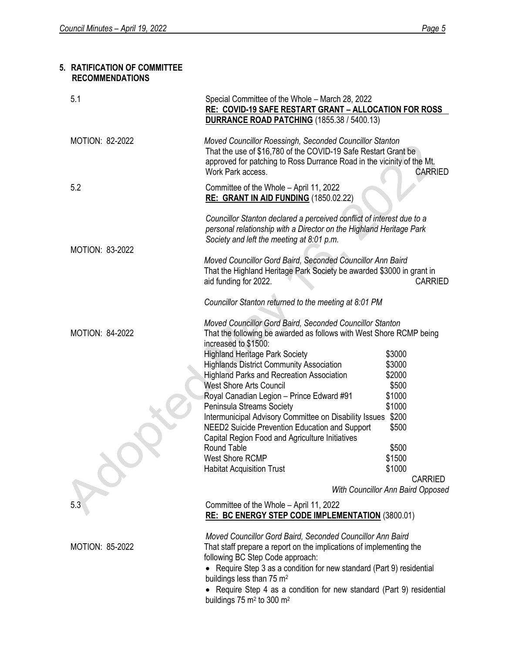# **5. RATIFICATION OF COMMITTEE RECOMMENDATIONS**

| 5.1                    | Special Committee of the Whole - March 28, 2022<br><b>RE: COVID-19 SAFE RESTART GRANT - ALLOCATION FOR ROSS</b><br><b>DURRANCE ROAD PATCHING</b> (1855.38 / 5400.13)                                                                                                                                                                                                                          |                                   |  |
|------------------------|-----------------------------------------------------------------------------------------------------------------------------------------------------------------------------------------------------------------------------------------------------------------------------------------------------------------------------------------------------------------------------------------------|-----------------------------------|--|
| <b>MOTION: 82-2022</b> | Moved Councillor Roessingh, Seconded Councillor Stanton<br>That the use of \$16,780 of the COVID-19 Safe Restart Grant be<br>approved for patching to Ross Durrance Road in the vicinity of the Mt.<br>Work Park access.                                                                                                                                                                      | <b>CARRIED</b>                    |  |
| 5.2                    | Committee of the Whole - April 11, 2022<br>RE: GRANT IN AID FUNDING (1850.02.22)                                                                                                                                                                                                                                                                                                              |                                   |  |
|                        | Councillor Stanton declared a perceived conflict of interest due to a<br>personal relationship with a Director on the Highland Heritage Park<br>Society and left the meeting at 8:01 p.m.                                                                                                                                                                                                     |                                   |  |
| MOTION: 83-2022        | Moved Councillor Gord Baird, Seconded Councillor Ann Baird<br>That the Highland Heritage Park Society be awarded \$3000 in grant in<br>aid funding for 2022.                                                                                                                                                                                                                                  | <b>CARRIED</b>                    |  |
|                        | Councillor Stanton returned to the meeting at 8:01 PM                                                                                                                                                                                                                                                                                                                                         |                                   |  |
| <b>MOTION: 84-2022</b> | Moved Councillor Gord Baird, Seconded Councillor Stanton<br>That the following be awarded as follows with West Shore RCMP being<br>increased to \$1500:                                                                                                                                                                                                                                       |                                   |  |
|                        | <b>Highland Heritage Park Society</b>                                                                                                                                                                                                                                                                                                                                                         | \$3000                            |  |
|                        | <b>Highlands District Community Association</b><br><b>Highland Parks and Recreation Association</b>                                                                                                                                                                                                                                                                                           | \$3000<br>\$2000                  |  |
|                        | <b>West Shore Arts Council</b>                                                                                                                                                                                                                                                                                                                                                                | \$500                             |  |
|                        | Royal Canadian Legion - Prince Edward #91                                                                                                                                                                                                                                                                                                                                                     | \$1000                            |  |
|                        | Peninsula Streams Society                                                                                                                                                                                                                                                                                                                                                                     | \$1000                            |  |
|                        | Intermunicipal Advisory Committee on Disability Issues \$200                                                                                                                                                                                                                                                                                                                                  |                                   |  |
|                        | NEED2 Suicide Prevention Education and Support                                                                                                                                                                                                                                                                                                                                                | \$500                             |  |
|                        | Capital Region Food and Agriculture Initiatives                                                                                                                                                                                                                                                                                                                                               |                                   |  |
|                        | Round Table<br>West Shore RCMP                                                                                                                                                                                                                                                                                                                                                                | \$500<br>\$1500                   |  |
|                        | <b>Habitat Acquisition Trust</b>                                                                                                                                                                                                                                                                                                                                                              | \$1000                            |  |
|                        |                                                                                                                                                                                                                                                                                                                                                                                               | <b>CARRIED</b>                    |  |
|                        |                                                                                                                                                                                                                                                                                                                                                                                               | With Councillor Ann Baird Opposed |  |
| 5.3                    | Committee of the Whole - April 11, 2022<br><b>RE: BC ENERGY STEP CODE IMPLEMENTATION (3800.01)</b>                                                                                                                                                                                                                                                                                            |                                   |  |
| <b>MOTION: 85-2022</b> | Moved Councillor Gord Baird, Seconded Councillor Ann Baird<br>That staff prepare a report on the implications of implementing the<br>following BC Step Code approach:<br>Require Step 3 as a condition for new standard (Part 9) residential<br>buildings less than 75 m <sup>2</sup><br>Require Step 4 as a condition for new standard (Part 9) residential<br>buildings 75 $m2$ to 300 $m2$ |                                   |  |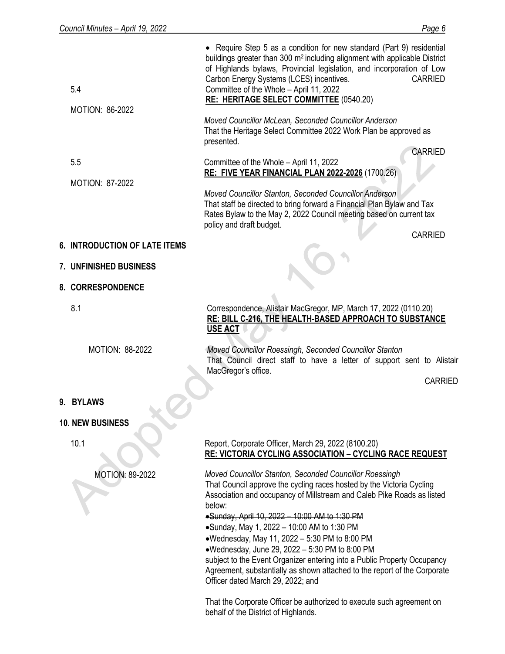| 5.4<br><b>MOTION: 86-2022</b>        | • Require Step 5 as a condition for new standard (Part 9) residential<br>buildings greater than 300 m <sup>2</sup> including alignment with applicable District<br>of Highlands bylaws, Provincial legislation, and incorporation of Low<br>Carbon Energy Systems (LCES) incentives.<br><b>CARRIED</b><br>Committee of the Whole - April 11, 2022<br><b>RE: HERITAGE SELECT COMMITTEE (0540.20)</b>                                                                                                                                                                                                                                                                                           |
|--------------------------------------|-----------------------------------------------------------------------------------------------------------------------------------------------------------------------------------------------------------------------------------------------------------------------------------------------------------------------------------------------------------------------------------------------------------------------------------------------------------------------------------------------------------------------------------------------------------------------------------------------------------------------------------------------------------------------------------------------|
|                                      | Moved Councillor McLean, Seconded Councillor Anderson<br>That the Heritage Select Committee 2022 Work Plan be approved as<br>presented.<br><b>CARRIED</b>                                                                                                                                                                                                                                                                                                                                                                                                                                                                                                                                     |
| 5.5<br>MOTION: 87-2022               | Committee of the Whole - April 11, 2022<br><b>RE: FIVE YEAR FINANCIAL PLAN 2022-2026 (1700.26)</b>                                                                                                                                                                                                                                                                                                                                                                                                                                                                                                                                                                                            |
|                                      | Moved Councillor Stanton, Seconded Councillor Anderson<br>That staff be directed to bring forward a Financial Plan Bylaw and Tax<br>Rates Bylaw to the May 2, 2022 Council meeting based on current tax<br>policy and draft budget.<br><b>CARRIED</b>                                                                                                                                                                                                                                                                                                                                                                                                                                         |
| <b>6. INTRODUCTION OF LATE ITEMS</b> |                                                                                                                                                                                                                                                                                                                                                                                                                                                                                                                                                                                                                                                                                               |
| 7. UNFINISHED BUSINESS               |                                                                                                                                                                                                                                                                                                                                                                                                                                                                                                                                                                                                                                                                                               |
| 8. CORRESPONDENCE                    |                                                                                                                                                                                                                                                                                                                                                                                                                                                                                                                                                                                                                                                                                               |
| 8.1                                  | Correspondence, Alistair MacGregor, MP, March 17, 2022 (0110.20)<br>RE: BILL C-216, THE HEALTH-BASED APPROACH TO SUBSTANCE<br><b>USE ACT</b>                                                                                                                                                                                                                                                                                                                                                                                                                                                                                                                                                  |
| <b>MOTION: 88-2022</b>               | Moved Councillor Roessingh, Seconded Councillor Stanton<br>That Council direct staff to have a letter of support sent to Alistair<br>MacGregor's office.<br><b>CARRIED</b>                                                                                                                                                                                                                                                                                                                                                                                                                                                                                                                    |
| 9. BYLAWS                            |                                                                                                                                                                                                                                                                                                                                                                                                                                                                                                                                                                                                                                                                                               |
| <b>10. NEW BUSINESS</b>              |                                                                                                                                                                                                                                                                                                                                                                                                                                                                                                                                                                                                                                                                                               |
| 10.1                                 | Report, Corporate Officer, March 29, 2022 (8100.20)<br>RE: VICTORIA CYCLING ASSOCIATION - CYCLING RACE REQUEST                                                                                                                                                                                                                                                                                                                                                                                                                                                                                                                                                                                |
| <b>MOTION: 89-2022</b>               | Moved Councillor Stanton, Seconded Councillor Roessingh<br>That Council approve the cycling races hosted by the Victoria Cycling<br>Association and occupancy of Millstream and Caleb Pike Roads as listed<br>below:<br>•Sunday, April 10, 2022 - 10:00 AM to 1:30 PM<br>•Sunday, May 1, 2022 - 10:00 AM to 1:30 PM<br>•Wednesday, May 11, 2022 - 5:30 PM to 8:00 PM<br>•Wednesday, June 29, 2022 - 5:30 PM to 8:00 PM<br>subject to the Event Organizer entering into a Public Property Occupancy<br>Agreement, substantially as shown attached to the report of the Corporate<br>Officer dated March 29, 2022; and<br>That the Corporate Officer be authorized to execute such agreement on |

behalf of the District of Highlands.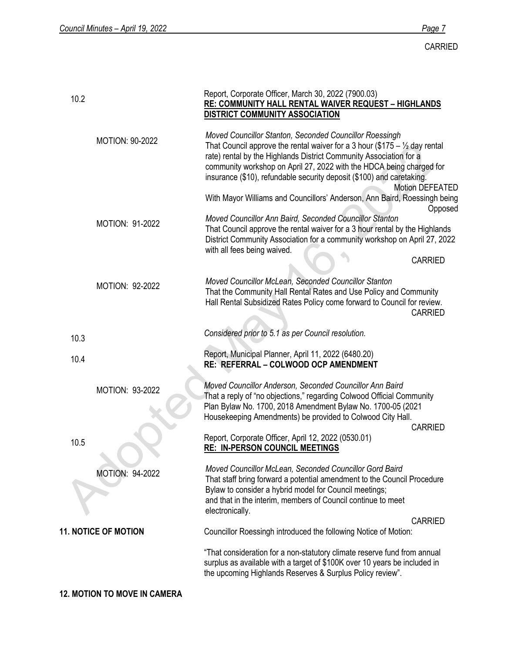| 10.2 |                             | Report, Corporate Officer, March 30, 2022 (7900.03)<br>RE: COMMUNITY HALL RENTAL WAIVER REQUEST - HIGHLANDS<br><b>DISTRICT COMMUNITY ASSOCIATION</b>                                                                                                                                                                                                                    |                 |
|------|-----------------------------|-------------------------------------------------------------------------------------------------------------------------------------------------------------------------------------------------------------------------------------------------------------------------------------------------------------------------------------------------------------------------|-----------------|
|      | <b>MOTION: 90-2022</b>      | Moved Councillor Stanton, Seconded Councillor Roessingh<br>That Council approve the rental waiver for a 3 hour (\$175 – $\frac{1}{2}$ day rental<br>rate) rental by the Highlands District Community Association for a<br>community workshop on April 27, 2022 with the HDCA being charged for<br>insurance (\$10), refundable security deposit (\$100) and caretaking. | Motion DEFEATED |
|      |                             | With Mayor Williams and Councillors' Anderson, Ann Baird, Roessingh being                                                                                                                                                                                                                                                                                               | Opposed         |
|      | <b>MOTION: 91-2022</b>      | Moved Councillor Ann Baird, Seconded Councillor Stanton<br>That Council approve the rental waiver for a 3 hour rental by the Highlands<br>District Community Association for a community workshop on April 27, 2022<br>with all fees being waived.                                                                                                                      |                 |
|      |                             |                                                                                                                                                                                                                                                                                                                                                                         | <b>CARRIED</b>  |
|      | <b>MOTION: 92-2022</b>      | Moved Councillor McLean, Seconded Councillor Stanton<br>That the Community Hall Rental Rates and Use Policy and Community<br>Hall Rental Subsidized Rates Policy come forward to Council for review.                                                                                                                                                                    | <b>CARRIED</b>  |
| 10.3 |                             | Considered prior to 5.1 as per Council resolution.                                                                                                                                                                                                                                                                                                                      |                 |
| 10.4 |                             | Report, Municipal Planner, April 11, 2022 (6480.20)<br>RE: REFERRAL - COLWOOD OCP AMENDMENT                                                                                                                                                                                                                                                                             |                 |
|      | MOTION: 93-2022             | Moved Councillor Anderson, Seconded Councillor Ann Baird<br>That a reply of "no objections," regarding Colwood Official Community<br>Plan Bylaw No. 1700, 2018 Amendment Bylaw No. 1700-05 (2021<br>Housekeeping Amendments) be provided to Colwood City Hall.                                                                                                          | <b>CARRIED</b>  |
| 10.5 |                             | Report, Corporate Officer, April 12, 2022 (0530.01)<br><b>RE: IN-PERSON COUNCIL MEETINGS</b>                                                                                                                                                                                                                                                                            |                 |
|      | <b>MOTION: 94-2022</b>      | Moved Councillor McLean, Seconded Councillor Gord Baird<br>That staff bring forward a potential amendment to the Council Procedure<br>Bylaw to consider a hybrid model for Council meetings;<br>and that in the interim, members of Council continue to meet<br>electronically.                                                                                         |                 |
|      | <b>11. NOTICE OF MOTION</b> | Councillor Roessingh introduced the following Notice of Motion:                                                                                                                                                                                                                                                                                                         | <b>CARRIED</b>  |
|      |                             | "That consideration for a non-statutory climate reserve fund from annual<br>surplus as available with a target of \$100K over 10 years be included in<br>the upcoming Highlands Reserves & Surplus Policy review".                                                                                                                                                      |                 |

**12. MOTION TO MOVE IN CAMERA**